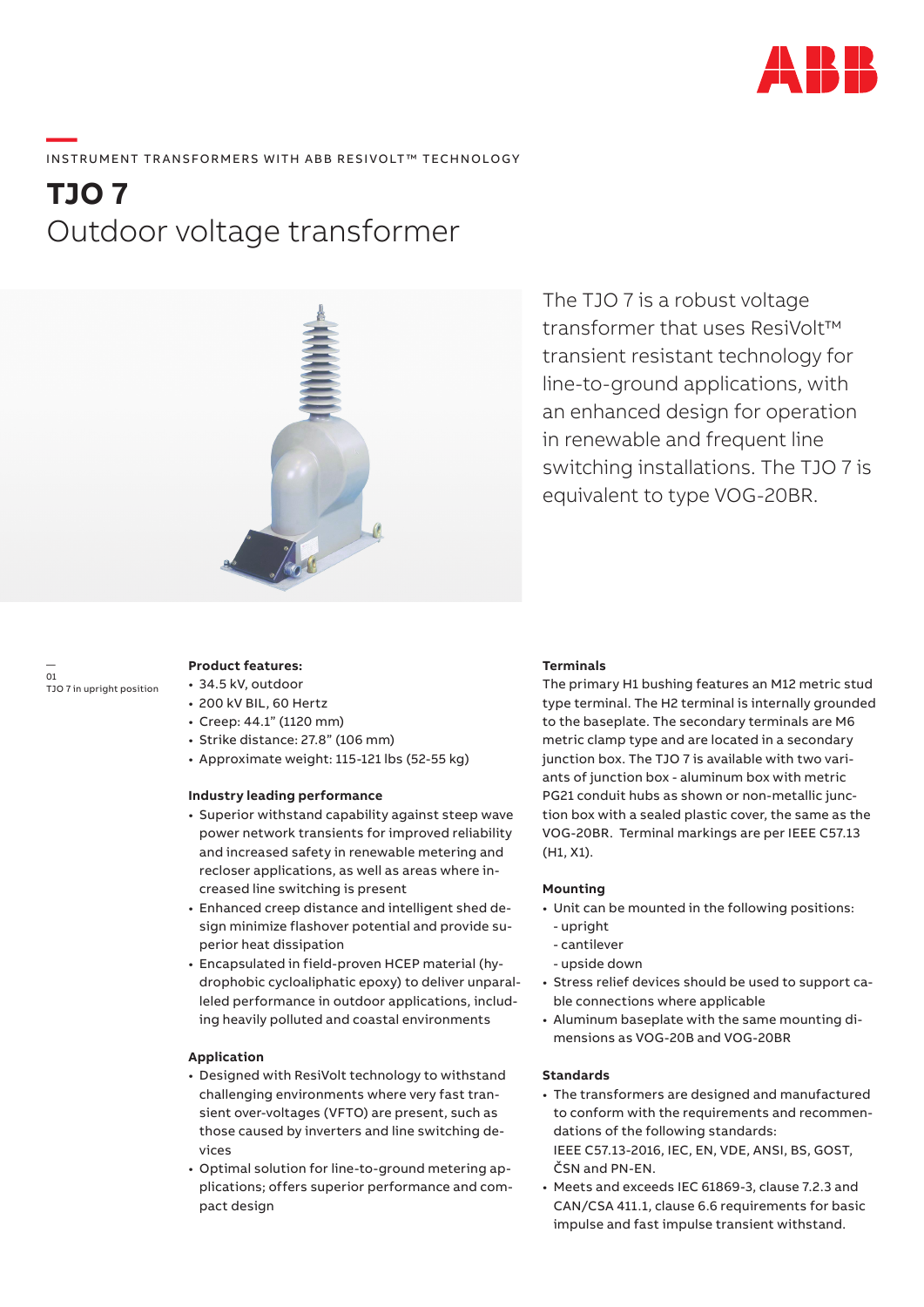

# ——<br>INSTRUMENT TRANSFORMERS WITH ABB RESIVOLT™ TECHNOLOGY

## **TJO 7** Outdoor voltage transformer



The TJO 7 is a robust voltage transformer that uses ResiVolt™ transient resistant technology for line-to-ground applications, with an enhanced design for operation in renewable and frequent line switching installations. The TJO 7 is equivalent to type VOG-20BR.

— 01 TJO 7 in upright position

### **Product features:**

- 34.5 kV, outdoor
- 200 kV BIL, 60 Hertz
- Creep: 44.1" (1120 mm)
- Strike distance: 27.8" (106 mm)
- Approximate weight: 115-121 lbs (52-55 kg)

#### **Industry leading performance**

- Superior withstand capability against steep wave power network transients for improved reliability and increased safety in renewable metering and recloser applications, as well as areas where increased line switching is present
- Enhanced creep distance and intelligent shed design minimize flashover potential and provide superior heat dissipation
- Encapsulated in field-proven HCEP material (hydrophobic cycloaliphatic epoxy) to deliver unparalleled performance in outdoor applications, including heavily polluted and coastal environments

#### **Application**

- Designed with ResiVolt technology to withstand challenging environments where very fast transient over-voltages (VFTO) are present, such as those caused by inverters and line switching devices
- Optimal solution for line-to-ground metering applications; offers superior performance and compact design

#### **Terminals**

The primary H1 bushing features an M12 metric stud type terminal. The H2 terminal is internally grounded to the baseplate. The secondary terminals are M6 metric clamp type and are located in a secondary junction box. The TJO 7 is available with two variants of junction box - aluminum box with metric PG21 conduit hubs as shown or non-metallic junction box with a sealed plastic cover, the same as the VOG-20BR. Terminal markings are per IEEE C57.13 (H1, X1).

#### **Mounting**

- Unit can be mounted in the following positions:
- upright
- cantilever
- upside down
- Stress relief devices should be used to support cable connections where applicable
- Aluminum baseplate with the same mounting dimensions as VOG-20B and VOG-20BR

### **Standards**

- The transformers are designed and manufactured to conform with the requirements and recommendations of the following standards: IEEE C57.13-2016, IEC, EN, VDE, ANSI, BS, GOST, ČSN and PN-EN.
- Meets and exceeds IEC 61869-3, clause 7.2.3 and CAN/CSA 411.1, clause 6.6 requirements for basic impulse and fast impulse transient withstand.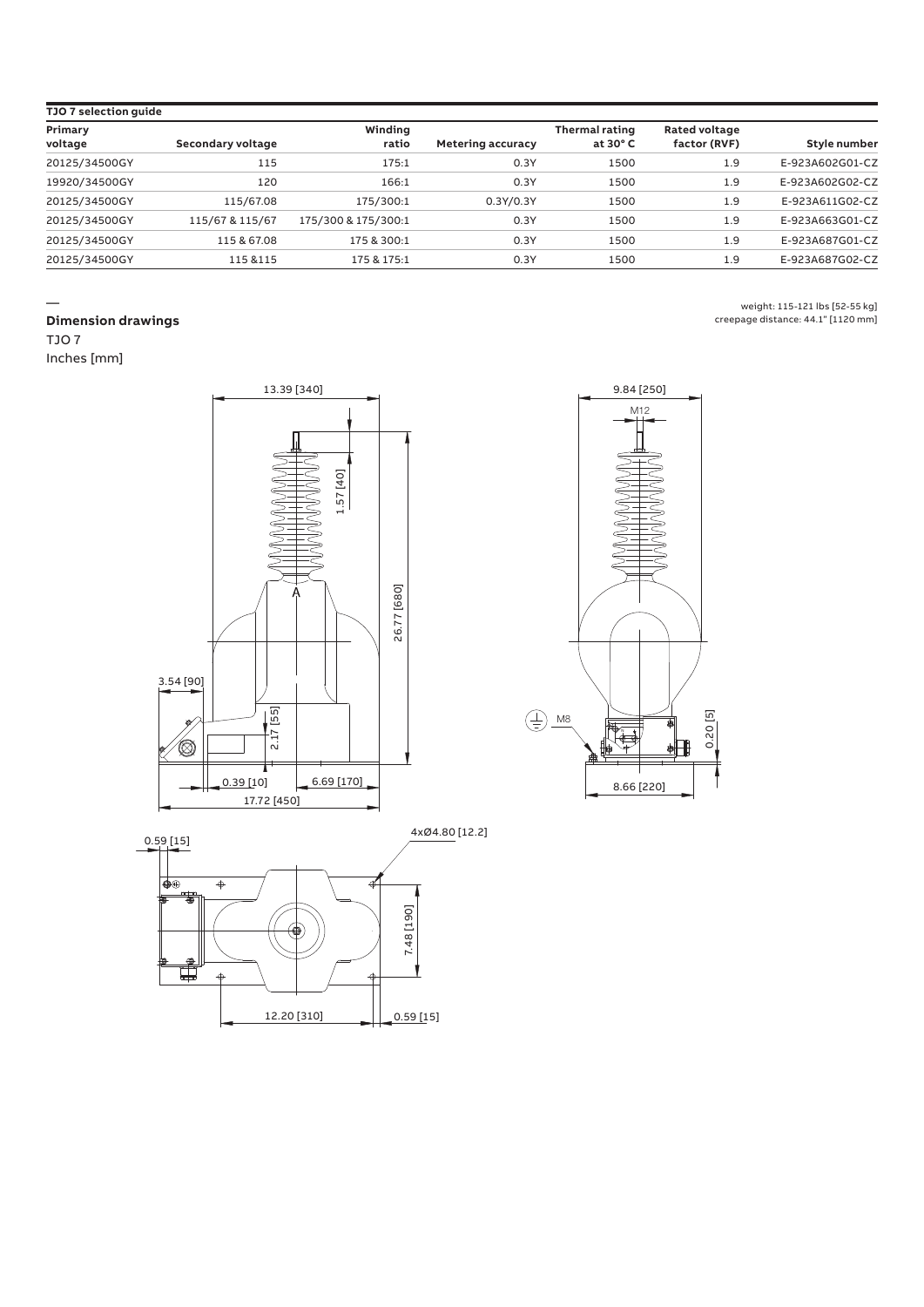| TJO 7 selection quide |                   |                     |                   |                                            |                                      |                 |
|-----------------------|-------------------|---------------------|-------------------|--------------------------------------------|--------------------------------------|-----------------|
| Primary<br>voltage    | Secondary voltage | Winding<br>ratio    | Metering accuracy | <b>Thermal rating</b><br>at $30^{\circ}$ C | <b>Rated voltage</b><br>factor (RVF) | Style number    |
| 20125/34500GY         | 115               | 175:1               | 0.3Y              | 1500                                       | 1.9                                  | E-923A602G01-CZ |
| 19920/34500GY         | 120               | 166:1               | 0.3Y              | 1500                                       | 1.9                                  | E-923A602G02-CZ |
| 20125/34500GY         | 115/67.08         | 175/300:1           | 0.3Y/0.3Y         | 1500                                       | 1.9                                  | E-923A611G02-CZ |
| 20125/34500GY         | 115/67 & 115/67   | 175/300 & 175/300:1 | 0.3Y              | 1500                                       | 1.9                                  | E-923A663G01-CZ |
| 20125/34500GY         | 115 & 67.08       | 175 & 300:1         | 0.3Y              | 1500                                       | 1.9                                  | E-923A687G01-CZ |
| 20125/34500GY         | 115 & 115         | 175 & 175:1         | 0.3Y              | 1500                                       | 1.9                                  | E-923A687G02-CZ |

#### — **Dimension drawings**

TJO 7

Inches [mm]







weight: 115-121 lbs [52-55 kg]

creepage distance: 44.1" [1120 mm]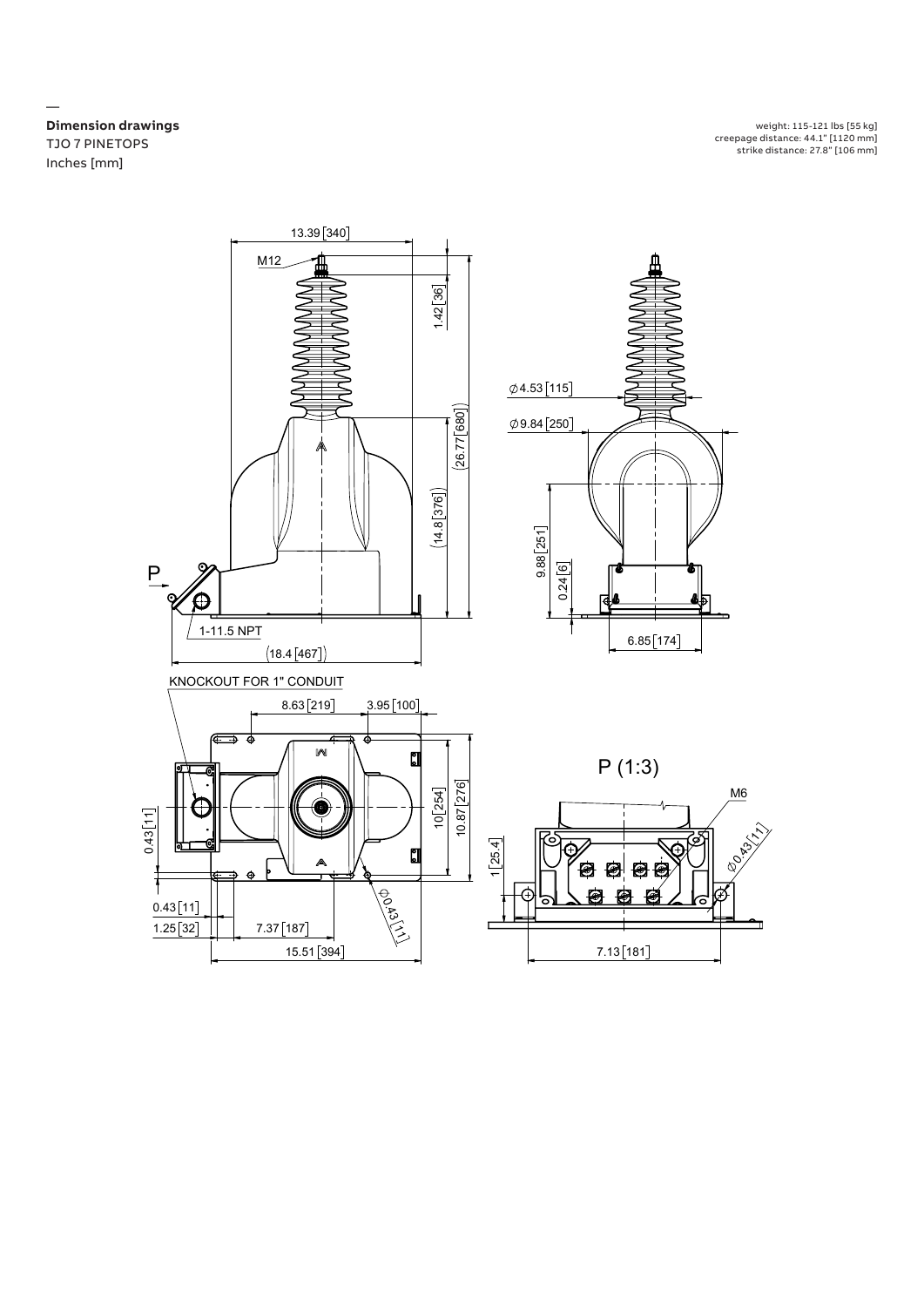**Dimension drawings** TJO 7 PINETOPS Inches [mm]  $T_{\text{strike}}$ 

—

weight: 115-121 lbs [55 kg] creepage distance: 44.1" [1120 mm] strike distance: 27.8" [106 mm]